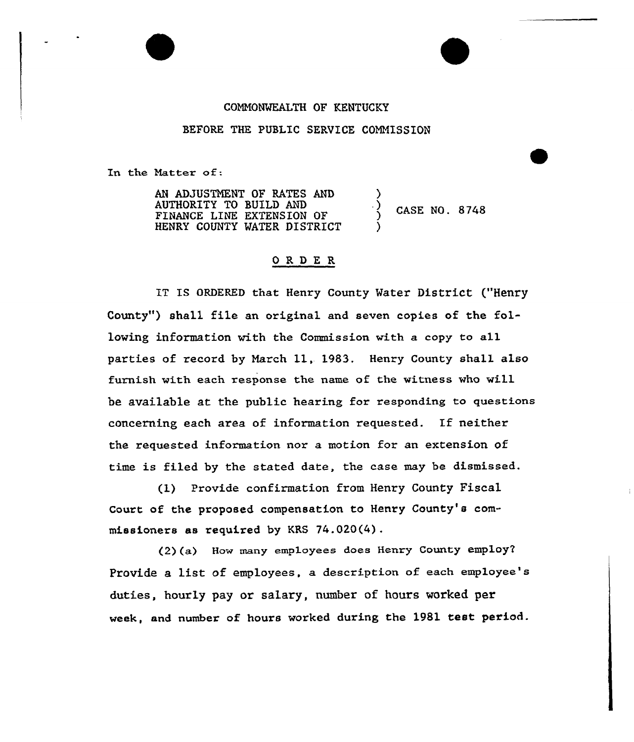## COMHONWEALTH OF KENTUCKY

## BEFORE THE PUBLIC SERVICE COMMISSION

In the Matter of:

AN ADJUSTNENT OF BATES AND AUTHORITY TO BUILD AND FINANCE LINE EXTENSION OF HENRY COUNTY WATER DISTRICT ) ) CASE NO. 8748 )

## ORDE <sup>R</sup>

IT IS ORDERED that Henry County Water District ("Henry County") shall file an original and seven copies of the following information with the Commission with a copy to all parties of record by March 11, 1983. Henry County shall also furnish with each response the name of the witness who will be available at the public hearing for responding to questions concerning each area of information requested. If neither the requested information nor a motion for an extension of time is filed by the stated date, the ease may be dismissed.

(1) Provide confirmation from Henry County Fiscal Court of the proposed compensation to Henry County's commissioners as required by KRS 74.020(4).

(2)(a) Bow many employees does Henry County employ' Provide a list of employees, a description of each employee's duties, hourly pay or salary, number of hours worked per week, and number of hours worked during the 1981 test period.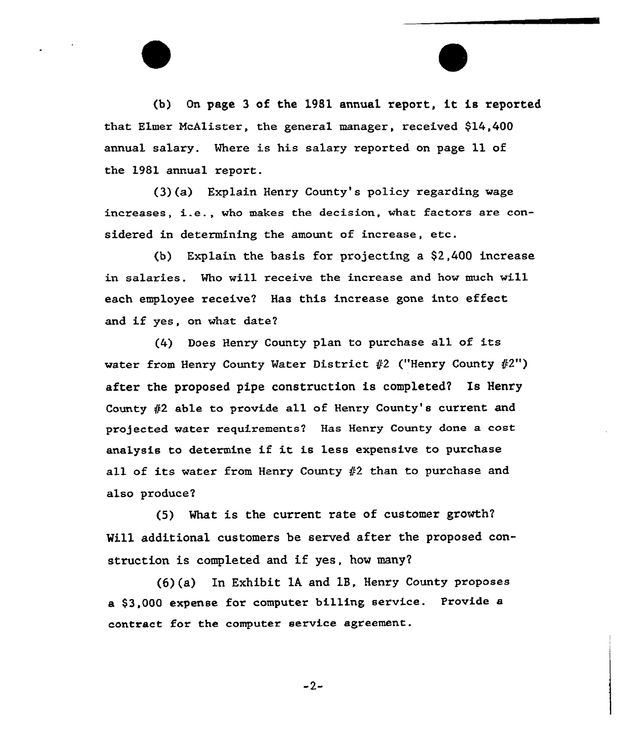(b) On page <sup>3</sup> of the <sup>1981</sup> annua1 xeport, it is reported that Elmex McAlister, the general manager, received \$14,400 annual salary. Where is his salary reported on page 11 of the 1981 annual report.

(3)(a) Explain Henry County's policy regarding wage increases, i.e., who makes the decision, what factors are considered in determining the amount of increase, etc.

(b) Explain the basis for projecting a \$2,400 increase in salaries. Mho will receive the increase and how much will each employee receive? Has this increase gone into effect and if yes, on what date7

(4) Does Henry County plan to purchase all of its water from Henry County Water District  $#2$  ("Henry County  $#2"$ ) after the proposed pipe construction is completed? Is Henry County  $#2$  able to provide all of Henry County's current and projected water requirements? Has Henry County done a cost analysis to determine if it is less expensive to purchase all of its water from Henry County  $#2$  than to purchase and also produce?

 $(5)$  What is the current rate of customer growth? Will additional customers be served after the proposed construction is completed and if yes, how many?

In Exhibit lA and 1B, Henry County propose a \$3,000 expense for computer billing service. Provide a contract for the computer service agreement.

$$
-2-
$$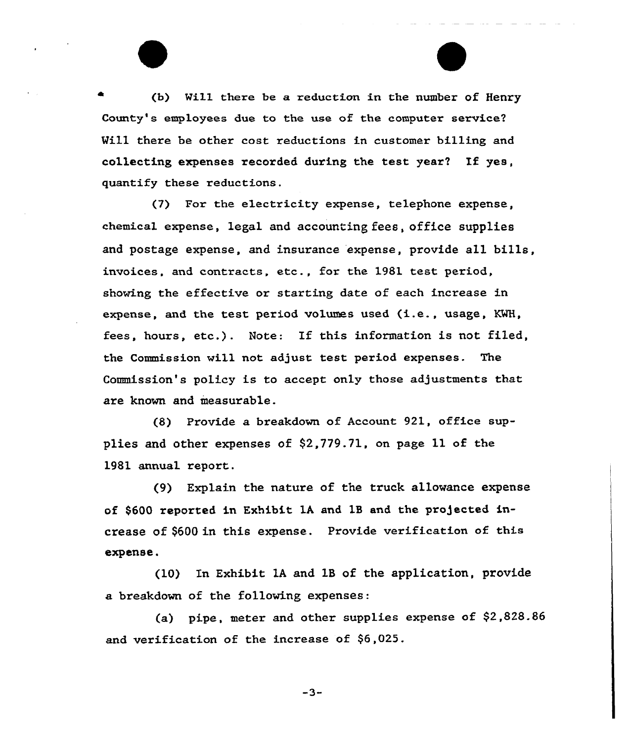(b) Wil1. there be a reduction in the number of Henry County's employees due to the use of the computer service? Will there be other cost reductions in customer billing and collecting expenses recorded during the test year? If yes, quantify these reductions.

(7) For the electricity expense, telephone expense, chemical expense, legal and accounting fees, office supplies and postage expense, and insurance expense, provide all bills, invoices, and contracts, etc., for the 1981 test period, showing the effective or starting date of each increase in expense, and the test period volumes used (i.e., usage, KWH, fees, hours, etc.). Note: If this information is not filed, the Commission will not adjust test period expenses. The Commission's policy is to accept only those adjustments that are known and measurable.

(8) Provide a breakdown of Account 921, office supplies and other expenses of \$2,779.71, on page 11 of the 1981 annual report.

(9) Explain the nature of the truck allowance expense of \$600 reported in Exhibit 1A and 1B and the projected increase of \$600 in this expense. Provide verification of this expense.

(10) In Exhibit 1A and 1B of the application, provide a breakdown of the following expenses:

(a) pipe, meter and other supplies expense of  $$2,828.86$ and verification of the increase of \$6,025.

 $-3-$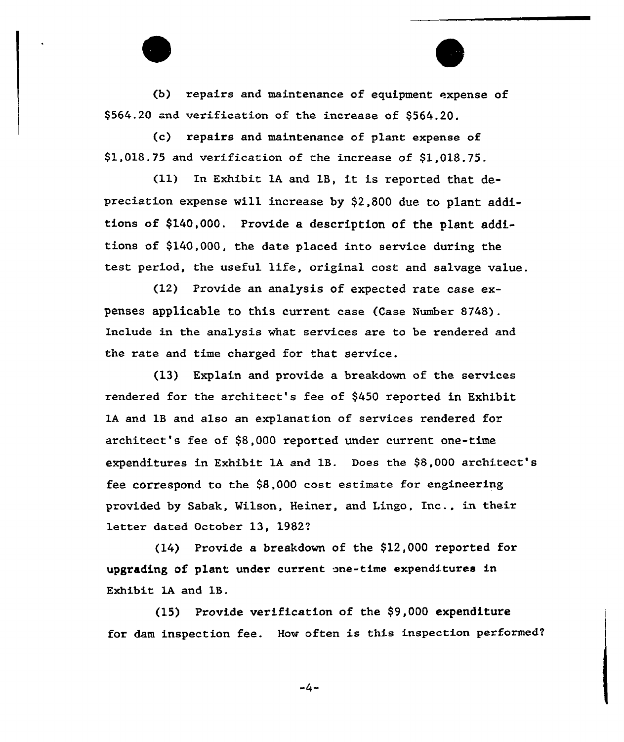(b) repairs and maintenance of equipment expense of \$564.20 and verification of the increase of \$564.20.

(c) repairs and maintenance of plant expense of \$1,018.75 and verification of the increase of \$1,018.75.

(11) In Exhibit 1A and 18, it is reported that depreciation expense vill increase by \$2,800 due to plant additions of \$140,000. Provide a description of the plant additions of \$140,000, the date placed into service during the test period, the useful life, original cost and salvage value.

(12) Provide an analysis of expected rate case expenses applicable to this current case (Case Number 8748). Include in the analysis vhat services are to be rendered and the rate and time charged for that service.

(13) Explain and provide a breakdown of the services rendered for the architect's fee of \$450 reported in Exhibit 1A and 1B and also an explanation of services rendered for architect's fee of \$8,000 reported under current one-time expenditures in Exhibit lA and 1B. Does the \$8,000 architect's fee correspond to the \$8,000 cost estimate for engineering provided by Sabak, Vilson, Heiner, and Lingo, Inc., in their letter dated October 13, 19827

 $(14)$  Provide a breakdown of the \$12,000 reported for upgrading of plant under current one-time expenditures in Exhibit 1A and 18.

(15) Provide verification of the  $$9,000$  expenditure for dam inspection fee. How often is this inspection performed7

 $-4-$